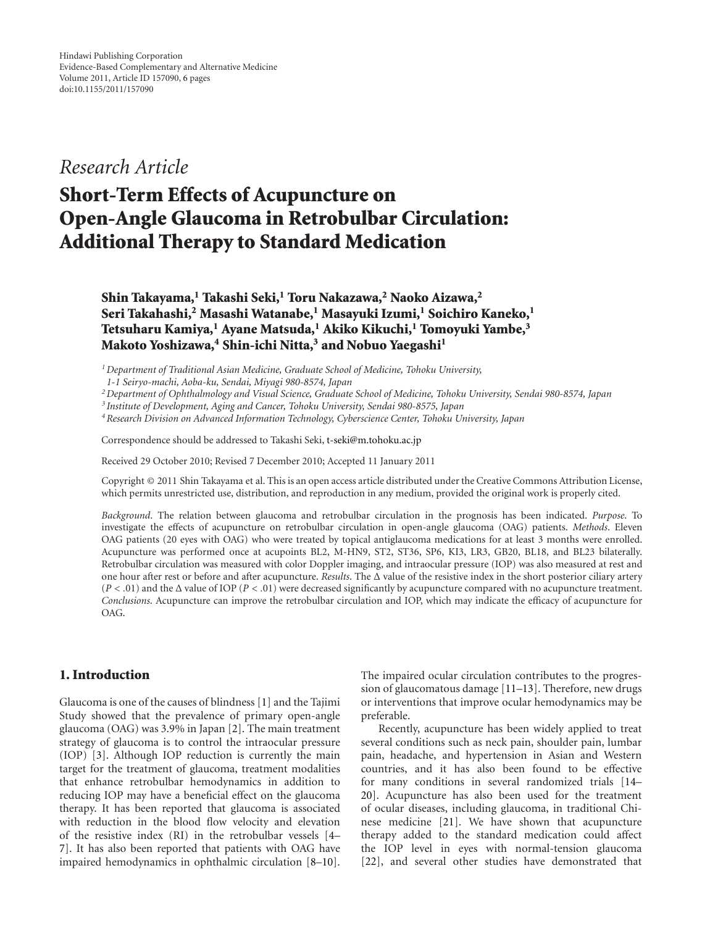*Research Article*

# **Short-Term Effects of Acupuncture on Open-Angle Glaucoma in Retrobulbar Circulation: Additional Therapy to Standard Medication**

**Shin Takayama,1 Takashi Seki,1 Toru Nakazawa,2 Naoko Aizawa,2 Seri Takahashi,2 Masashi Watanabe,1 Masayuki Izumi,1 Soichiro Kaneko,1 Tetsuharu Kamiya,1 Ayane Matsuda,1 Akiko Kikuchi,1 Tomoyuki Yambe,3 Makoto Yoshizawa,4 Shin-ichi Nitta,3 and Nobuo Yaegashi1**

*1Department of Traditional Asian Medicine, Graduate School of Medicine, Tohoku University,*

*2Department of Ophthalmology and Visual Science, Graduate School of Medicine, Tohoku University, Sendai 980-8574, Japan*

*4Research Division on Advanced Information Technology, Cyberscience Center, Tohoku University, Japan*

Correspondence should be addressed to Takashi Seki, t-seki@m.tohoku.ac.jp

Received 29 October 2010; Revised 7 December 2010; Accepted 11 January 2011

Copyright © 2011 Shin Takayama et al. This is an open access article distributed under the Creative Commons Attribution License, which permits unrestricted use, distribution, and reproduction in any medium, provided the original work is properly cited.

*Background*. The relation between glaucoma and retrobulbar circulation in the prognosis has been indicated. *Purpose*. To investigate the effects of acupuncture on retrobulbar circulation in open-angle glaucoma (OAG) patients. *Methods*. Eleven OAG patients (20 eyes with OAG) who were treated by topical antiglaucoma medications for at least 3 months were enrolled. Acupuncture was performed once at acupoints BL2, M-HN9, ST2, ST36, SP6, KI3, LR3, GB20, BL18, and BL23 bilaterally. Retrobulbar circulation was measured with color Doppler imaging, and intraocular pressure (IOP) was also measured at rest and one hour after rest or before and after acupuncture. *Results*. The Δ value of the resistive index in the short posterior ciliary artery (*P<.*01) and the Δ value of IOP (*P<.*01) were decreased significantly by acupuncture compared with no acupuncture treatment. *Conclusions*. Acupuncture can improve the retrobulbar circulation and IOP, which may indicate the efficacy of acupuncture for OAG.

## **1. Introduction**

Glaucoma is one of the causes of blindness [1] and the Tajimi Study showed that the prevalence of primary open-angle glaucoma (OAG) was 3.9% in Japan [2]. The main treatment strategy of glaucoma is to control the intraocular pressure (IOP) [3]. Although IOP reduction is currently the main target for the treatment of glaucoma, treatment modalities that enhance retrobulbar hemodynamics in addition to reducing IOP may have a beneficial effect on the glaucoma therapy. It has been reported that glaucoma is associated with reduction in the blood flow velocity and elevation of the resistive index (RI) in the retrobulbar vessels [4– 7]. It has also been reported that patients with OAG have impaired hemodynamics in ophthalmic circulation [8–10].

The impaired ocular circulation contributes to the progression of glaucomatous damage [11–13]. Therefore, new drugs or interventions that improve ocular hemodynamics may be preferable.

Recently, acupuncture has been widely applied to treat several conditions such as neck pain, shoulder pain, lumbar pain, headache, and hypertension in Asian and Western countries, and it has also been found to be effective for many conditions in several randomized trials [14– 20]. Acupuncture has also been used for the treatment of ocular diseases, including glaucoma, in traditional Chinese medicine [21]. We have shown that acupuncture therapy added to the standard medication could affect the IOP level in eyes with normal-tension glaucoma [22], and several other studies have demonstrated that

*<sup>1-1</sup> Seiryo-machi, Aoba-ku, Sendai, Miyagi 980-8574, Japan*

*<sup>3</sup> Institute of Development, Aging and Cancer, Tohoku University, Sendai 980-8575, Japan*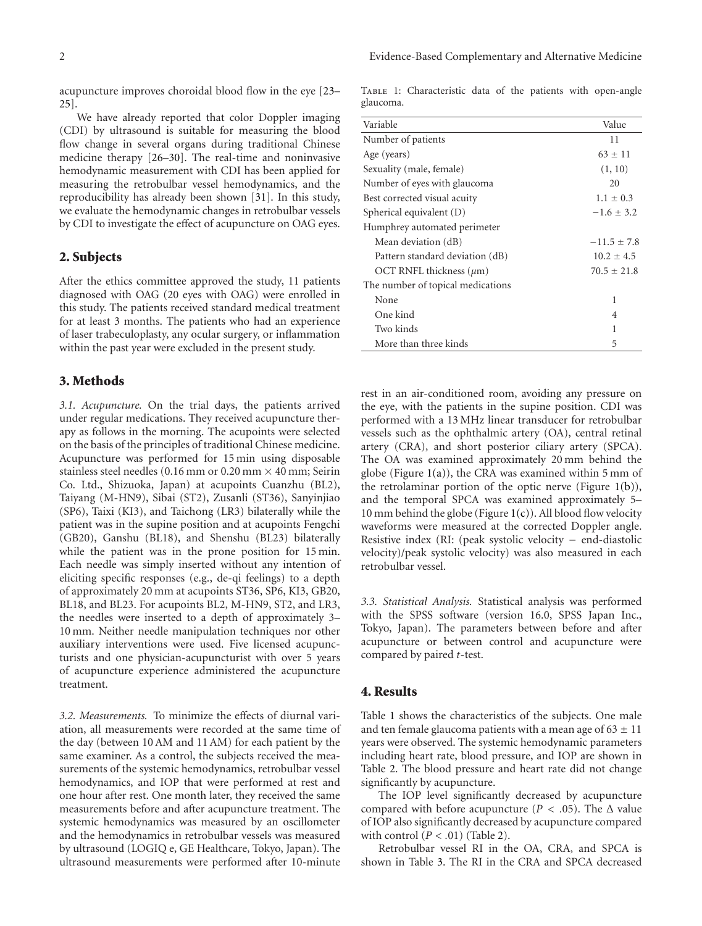acupuncture improves choroidal blood flow in the eye [23– 25].

We have already reported that color Doppler imaging (CDI) by ultrasound is suitable for measuring the blood flow change in several organs during traditional Chinese medicine therapy [26–30]. The real-time and noninvasive hemodynamic measurement with CDI has been applied for measuring the retrobulbar vessel hemodynamics, and the reproducibility has already been shown [31]. In this study, we evaluate the hemodynamic changes in retrobulbar vessels by CDI to investigate the effect of acupuncture on OAG eyes.

## **2. Subjects**

After the ethics committee approved the study, 11 patients diagnosed with OAG (20 eyes with OAG) were enrolled in this study. The patients received standard medical treatment for at least 3 months. The patients who had an experience of laser trabeculoplasty, any ocular surgery, or inflammation within the past year were excluded in the present study.

#### **3. Methods**

*3.1. Acupuncture.* On the trial days, the patients arrived under regular medications. They received acupuncture therapy as follows in the morning. The acupoints were selected on the basis of the principles of traditional Chinese medicine. Acupuncture was performed for 15 min using disposable stainless steel needles (0.16 mm or 0.20 mm  $\times$  40 mm; Seirin Co. Ltd., Shizuoka, Japan) at acupoints Cuanzhu (BL2), Taiyang (M-HN9), Sibai (ST2), Zusanli (ST36), Sanyinjiao (SP6), Taixi (KI3), and Taichong (LR3) bilaterally while the patient was in the supine position and at acupoints Fengchi (GB20), Ganshu (BL18), and Shenshu (BL23) bilaterally while the patient was in the prone position for 15 min. Each needle was simply inserted without any intention of eliciting specific responses (e.g., de-qi feelings) to a depth of approximately 20 mm at acupoints ST36, SP6, KI3, GB20, BL18, and BL23. For acupoints BL2, M-HN9, ST2, and LR3, the needles were inserted to a depth of approximately 3– 10 mm. Neither needle manipulation techniques nor other auxiliary interventions were used. Five licensed acupuncturists and one physician-acupuncturist with over 5 years of acupuncture experience administered the acupuncture treatment.

*3.2. Measurements.* To minimize the effects of diurnal variation, all measurements were recorded at the same time of the day (between 10 AM and 11 AM) for each patient by the same examiner. As a control, the subjects received the measurements of the systemic hemodynamics, retrobulbar vessel hemodynamics, and IOP that were performed at rest and one hour after rest. One month later, they received the same measurements before and after acupuncture treatment. The systemic hemodynamics was measured by an oscillometer and the hemodynamics in retrobulbar vessels was measured by ultrasound (LOGIQ e, GE Healthcare, Tokyo, Japan). The ultrasound measurements were performed after 10-minute

Table 1: Characteristic data of the patients with open-angle glaucoma.

| Variable                          | Value           |
|-----------------------------------|-----------------|
| Number of patients                | 11              |
| Age (years)                       | $63 \pm 11$     |
| Sexuality (male, female)          | (1, 10)         |
| Number of eyes with glaucoma      | 20              |
| Best corrected visual acuity      | $1.1 \pm 0.3$   |
| Spherical equivalent (D)          | $-1.6 \pm 3.2$  |
| Humphrey automated perimeter      |                 |
| Mean deviation (dB)               | $-11.5 \pm 7.8$ |
| Pattern standard deviation (dB)   | $10.2 \pm 4.5$  |
| OCT RNFL thickness $(\mu m)$      | $70.5 \pm 21.8$ |
| The number of topical medications |                 |
| None                              | 1               |
| One kind                          | 4               |
| Two kinds                         | 1               |
| More than three kinds             | 5               |

rest in an air-conditioned room, avoiding any pressure on the eye, with the patients in the supine position. CDI was performed with a 13 MHz linear transducer for retrobulbar vessels such as the ophthalmic artery (OA), central retinal artery (CRA), and short posterior ciliary artery (SPCA). The OA was examined approximately 20 mm behind the globe (Figure  $1(a)$ ), the CRA was examined within 5 mm of the retrolaminar portion of the optic nerve (Figure 1(b)), and the temporal SPCA was examined approximately 5– 10 mm behind the globe (Figure  $1(c)$ ). All blood flow velocity waveforms were measured at the corrected Doppler angle. Resistive index (RI: (peak systolic velocity − end-diastolic velocity)/peak systolic velocity) was also measured in each retrobulbar vessel.

*3.3. Statistical Analysis.* Statistical analysis was performed with the SPSS software (version 16.0, SPSS Japan Inc., Tokyo, Japan). The parameters between before and after acupuncture or between control and acupuncture were compared by paired *t*-test.

#### **4. Results**

Table 1 shows the characteristics of the subjects. One male and ten female glaucoma patients with a mean age of  $63 \pm 11$ years were observed. The systemic hemodynamic parameters including heart rate, blood pressure, and IOP are shown in Table 2. The blood pressure and heart rate did not change significantly by acupuncture.

The IOP level significantly decreased by acupuncture compared with before acupuncture ( $P < .05$ ). The  $\Delta$  value of IOP also significantly decreased by acupuncture compared with control (*P<.*01) (Table 2).

Retrobulbar vessel RI in the OA, CRA, and SPCA is shown in Table 3. The RI in the CRA and SPCA decreased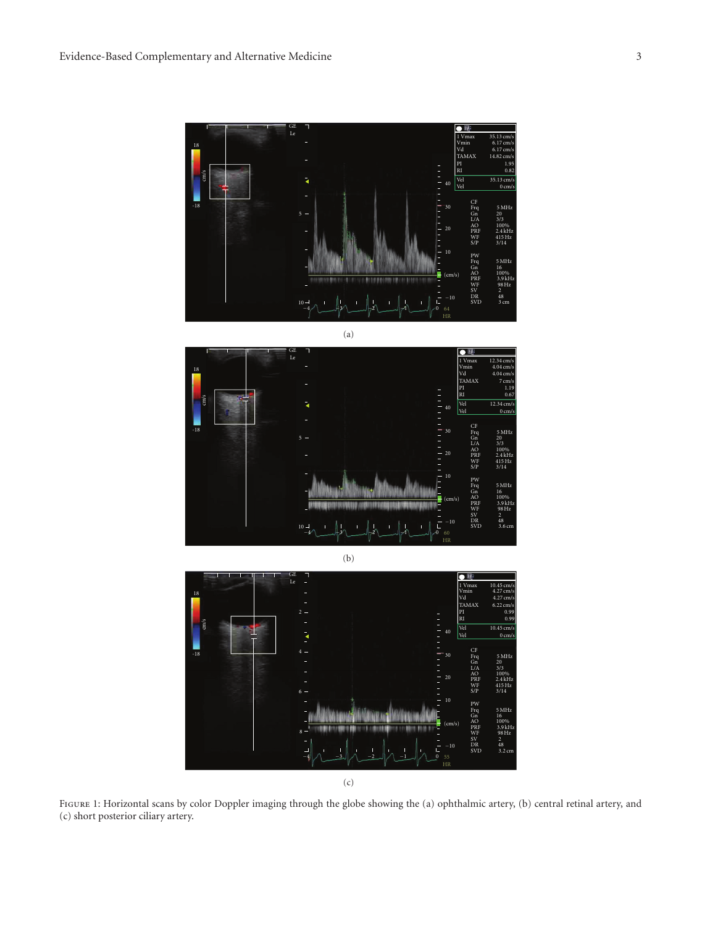











Figure 1: Horizontal scans by color Doppler imaging through the globe showing the (a) ophthalmic artery, (b) central retinal artery, and (c) short posterior ciliary artery.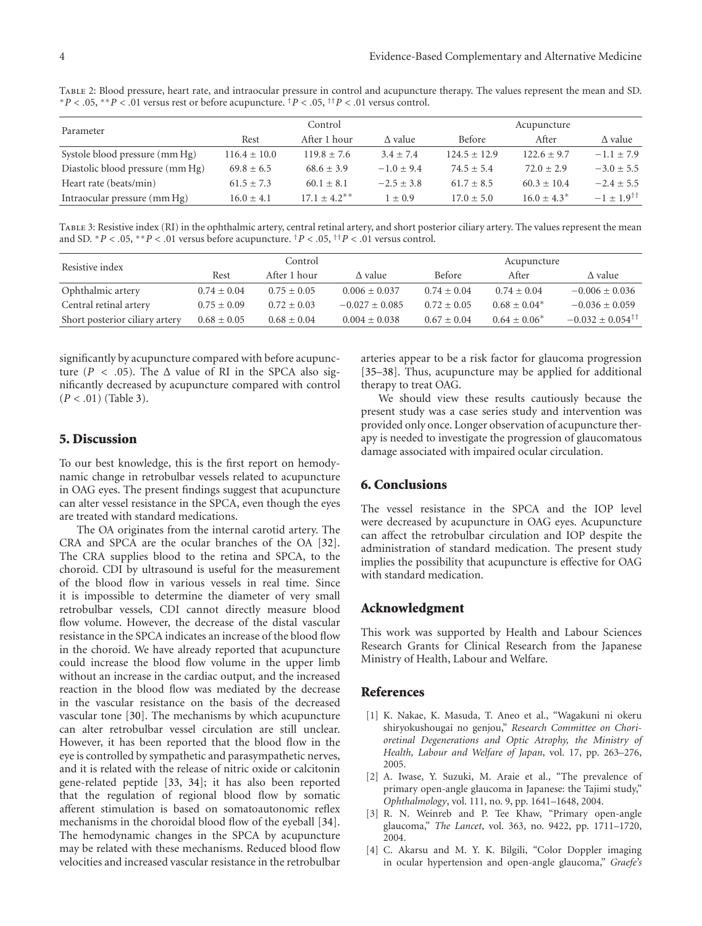Table 2: Blood pressure, heart rate, and intraocular pressure in control and acupuncture therapy. The values represent the mean and SD. <sup>∗</sup>*P<.*05, ∗∗*P<.*01 versus rest or before acupuncture. †*P<.*05, ††*P<.*01 versus control.

| Parameter                        | Control              |                            |                | Acupuncture      |                 |                          |
|----------------------------------|----------------------|----------------------------|----------------|------------------|-----------------|--------------------------|
|                                  | After 1 hour<br>Rest |                            | $\Delta$ value | <b>Before</b>    | After           | $\Delta$ value           |
| Systole blood pressure (mm Hg)   | $116.4 \pm 10.0$     | $119.8 \pm 7.6$            | $3.4 + 7.4$    | $124.5 \pm 12.9$ | $122.6 \pm 9.7$ | $-1.1 \pm 7.9$           |
| Diastolic blood pressure (mm Hg) | $69.8 + 6.5$         | $68.6 \pm 3.9$             | $-1.0 + 9.4$   | $74.5 + 5.4$     | $72.0 + 2.9$    | $-3.0 \pm 5.5$           |
| Heart rate (beats/min)           | $61.5 \pm 7.3$       | $60.1 \pm 8.1$             | $-2.5 + 3.8$   | $61.7 + 8.5$     | $60.3 \pm 10.4$ | $-2.4 \pm 5.5$           |
| Intraocular pressure (mm Hg)     | $16.0 \pm 4.1$       | $17.1 + 4.2$ <sup>**</sup> | $1 \pm 0.9$    | $17.0 + 5.0$     | $16.0 + 4.3^*$  | $-1 + 1.9$ <sup>††</sup> |

Table 3: Resistive index (RI) in the ophthalmic artery, central retinal artery, and short posterior ciliary artery. The values represent the mean and SD.  $*P < .05$ ,  $*P < .01$  versus before acupuncture. <sup>†</sup> $P < .05$ , <sup>††</sup> $P < .01$  versus control.

| Resistive index                |                 | Control         |                   |               | Acupuncture     |                                   |
|--------------------------------|-----------------|-----------------|-------------------|---------------|-----------------|-----------------------------------|
|                                | Rest            | After 1 hour    | $\Delta$ value    | <b>Before</b> | After           | $\Delta$ value                    |
| Ophthalmic artery              | $0.74 \pm 0.04$ | $0.75 \pm 0.05$ | $0.006 \pm 0.037$ | $0.74 + 0.04$ | $0.74 \pm 0.04$ | $-0.006 \pm 0.036$                |
| Central retinal artery         | $0.75 \pm 0.09$ | $0.72 + 0.03$   | $-0.027 + 0.085$  | $0.72 + 0.05$ | $0.68 + 0.04*$  | $-0.036 + 0.059$                  |
| Short posterior ciliary artery | $0.68 \pm 0.05$ | $0.68 \pm 0.04$ | $0.004 + 0.038$   | $0.67 + 0.04$ | $0.64 + 0.06*$  | $-0.032 + 0.054^{\dagger\dagger}$ |

significantly by acupuncture compared with before acupuncture ( $P < .05$ ). The  $\Delta$  value of RI in the SPCA also significantly decreased by acupuncture compared with control (*P<.*01) (Table 3).

## **5. Discussion**

To our best knowledge, this is the first report on hemodynamic change in retrobulbar vessels related to acupuncture in OAG eyes. The present findings suggest that acupuncture can alter vessel resistance in the SPCA, even though the eyes are treated with standard medications.

The OA originates from the internal carotid artery. The CRA and SPCA are the ocular branches of the OA [32]. The CRA supplies blood to the retina and SPCA, to the choroid. CDI by ultrasound is useful for the measurement of the blood flow in various vessels in real time. Since it is impossible to determine the diameter of very small retrobulbar vessels, CDI cannot directly measure blood flow volume. However, the decrease of the distal vascular resistance in the SPCA indicates an increase of the blood flow in the choroid. We have already reported that acupuncture could increase the blood flow volume in the upper limb without an increase in the cardiac output, and the increased reaction in the blood flow was mediated by the decrease in the vascular resistance on the basis of the decreased vascular tone [30]. The mechanisms by which acupuncture can alter retrobulbar vessel circulation are still unclear. However, it has been reported that the blood flow in the eye is controlled by sympathetic and parasympathetic nerves, and it is related with the release of nitric oxide or calcitonin gene-related peptide [33, 34]; it has also been reported that the regulation of regional blood flow by somatic afferent stimulation is based on somatoautonomic reflex mechanisms in the choroidal blood flow of the eyeball [34]. The hemodynamic changes in the SPCA by acupuncture may be related with these mechanisms. Reduced blood flow velocities and increased vascular resistance in the retrobulbar

arteries appear to be a risk factor for glaucoma progression [35–38]. Thus, acupuncture may be applied for additional therapy to treat OAG.

We should view these results cautiously because the present study was a case series study and intervention was provided only once. Longer observation of acupuncture therapy is needed to investigate the progression of glaucomatous damage associated with impaired ocular circulation.

#### **6. Conclusions**

The vessel resistance in the SPCA and the IOP level were decreased by acupuncture in OAG eyes. Acupuncture can affect the retrobulbar circulation and IOP despite the administration of standard medication. The present study implies the possibility that acupuncture is effective for OAG with standard medication.

#### **Acknowledgment**

This work was supported by Health and Labour Sciences Research Grants for Clinical Research from the Japanese Ministry of Health, Labour and Welfare.

#### **References**

- [1] K. Nakae, K. Masuda, T. Aneo et al., "Wagakuni ni okeru shiryokushougai no genjou," *Research Committee on Chorioretinal Degenerations and Optic Atrophy, the Ministry of Health, Labour and Welfare of Japan*, vol. 17, pp. 263–276, 2005.
- [2] A. Iwase, Y. Suzuki, M. Araie et al., "The prevalence of primary open-angle glaucoma in Japanese: the Tajimi study," *Ophthalmology*, vol. 111, no. 9, pp. 1641–1648, 2004.
- [3] R. N. Weinreb and P. Tee Khaw, "Primary open-angle glaucoma," *The Lancet*, vol. 363, no. 9422, pp. 1711–1720, 2004.
- [4] C. Akarsu and M. Y. K. Bilgili, "Color Doppler imaging in ocular hypertension and open-angle glaucoma," *Graefe's*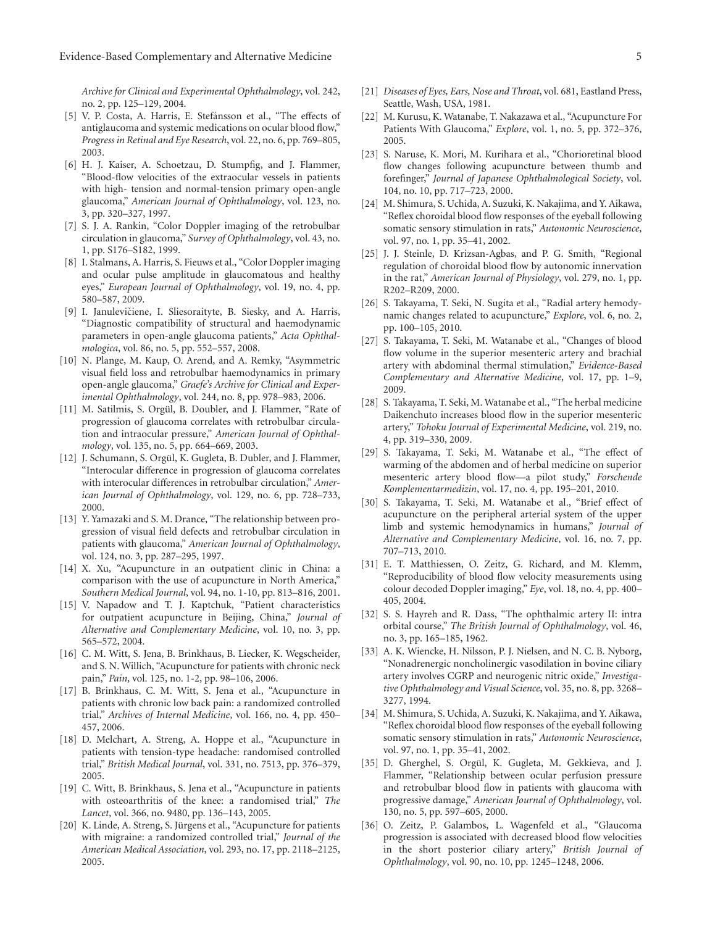*Archive for Clinical and Experimental Ophthalmology*, vol. 242, no. 2, pp. 125–129, 2004.

- [5] V. P. Costa, A. Harris, E. Stefánsson et al., "The effects of antiglaucoma and systemic medications on ocular blood flow," *Progress in Retinal and Eye Research*, vol. 22, no. 6, pp. 769–805, 2003.
- [6] H. J. Kaiser, A. Schoetzau, D. Stumpfig, and J. Flammer, "Blood-flow velocities of the extraocular vessels in patients with high- tension and normal-tension primary open-angle glaucoma," *American Journal of Ophthalmology*, vol. 123, no. 3, pp. 320–327, 1997.
- [7] S. J. A. Rankin, "Color Doppler imaging of the retrobulbar circulation in glaucoma," *Survey of Ophthalmology*, vol. 43, no. 1, pp. S176–S182, 1999.
- [8] I. Stalmans, A. Harris, S. Fieuws et al., "Color Doppler imaging and ocular pulse amplitude in glaucomatous and healthy eyes," *European Journal of Ophthalmology*, vol. 19, no. 4, pp. 580–587, 2009.
- [9] I. Janulevičiene, I. Sliesoraityte, B. Siesky, and A. Harris, "Diagnostic compatibility of structural and haemodynamic parameters in open-angle glaucoma patients," *Acta Ophthalmologica*, vol. 86, no. 5, pp. 552–557, 2008.
- [10] N. Plange, M. Kaup, O. Arend, and A. Remky, "Asymmetric visual field loss and retrobulbar haemodynamics in primary open-angle glaucoma," *Graefe's Archive for Clinical and Experimental Ophthalmology*, vol. 244, no. 8, pp. 978–983, 2006.
- [11] M. Satilmis, S. Orgül, B. Doubler, and J. Flammer, "Rate of progression of glaucoma correlates with retrobulbar circulation and intraocular pressure," *American Journal of Ophthalmology*, vol. 135, no. 5, pp. 664–669, 2003.
- [12] J. Schumann, S. Orgül, K. Gugleta, B. Dubler, and J. Flammer, "Interocular difference in progression of glaucoma correlates with interocular differences in retrobulbar circulation," *American Journal of Ophthalmology*, vol. 129, no. 6, pp. 728–733, 2000.
- [13] Y. Yamazaki and S. M. Drance, "The relationship between progression of visual field defects and retrobulbar circulation in patients with glaucoma," *American Journal of Ophthalmology*, vol. 124, no. 3, pp. 287–295, 1997.
- [14] X. Xu, "Acupuncture in an outpatient clinic in China: a comparison with the use of acupuncture in North America," *Southern Medical Journal*, vol. 94, no. 1-10, pp. 813–816, 2001.
- [15] V. Napadow and T. J. Kaptchuk, "Patient characteristics for outpatient acupuncture in Beijing, China," *Journal of Alternative and Complementary Medicine*, vol. 10, no. 3, pp. 565–572, 2004.
- [16] C. M. Witt, S. Jena, B. Brinkhaus, B. Liecker, K. Wegscheider, and S. N. Willich, "Acupuncture for patients with chronic neck pain," *Pain*, vol. 125, no. 1-2, pp. 98–106, 2006.
- [17] B. Brinkhaus, C. M. Witt, S. Jena et al., "Acupuncture in patients with chronic low back pain: a randomized controlled trial," *Archives of Internal Medicine*, vol. 166, no. 4, pp. 450– 457, 2006.
- [18] D. Melchart, A. Streng, A. Hoppe et al., "Acupuncture in patients with tension-type headache: randomised controlled trial," *British Medical Journal*, vol. 331, no. 7513, pp. 376–379, 2005.
- [19] C. Witt, B. Brinkhaus, S. Jena et al., "Acupuncture in patients with osteoarthritis of the knee: a randomised trial," *The Lancet*, vol. 366, no. 9480, pp. 136–143, 2005.
- [20] K. Linde, A. Streng, S. Jürgens et al., "Acupuncture for patients with migraine: a randomized controlled trial," *Journal of the American Medical Association*, vol. 293, no. 17, pp. 2118–2125, 2005.
- [21] *Diseases of Eyes, Ears, Nose and Throat*, vol. 681, Eastland Press, Seattle, Wash, USA, 1981.
- [22] M. Kurusu, K. Watanabe, T. Nakazawa et al., "Acupuncture For Patients With Glaucoma," *Explore*, vol. 1, no. 5, pp. 372–376, 2005.
- [23] S. Naruse, K. Mori, M. Kurihara et al., "Chorioretinal blood flow changes following acupuncture between thumb and forefinger," *Journal of Japanese Ophthalmological Society*, vol. 104, no. 10, pp. 717–723, 2000.
- [24] M. Shimura, S. Uchida, A. Suzuki, K. Nakajima, and Y. Aikawa, "Reflex choroidal blood flow responses of the eyeball following somatic sensory stimulation in rats," *Autonomic Neuroscience*, vol. 97, no. 1, pp. 35–41, 2002.
- [25] J. J. Steinle, D. Krizsan-Agbas, and P. G. Smith, "Regional regulation of choroidal blood flow by autonomic innervation in the rat," *American Journal of Physiology*, vol. 279, no. 1, pp. R202–R209, 2000.
- [26] S. Takayama, T. Seki, N. Sugita et al., "Radial artery hemodynamic changes related to acupuncture," *Explore*, vol. 6, no. 2, pp. 100–105, 2010.
- [27] S. Takayama, T. Seki, M. Watanabe et al., "Changes of blood flow volume in the superior mesenteric artery and brachial artery with abdominal thermal stimulation," *Evidence-Based Complementary and Alternative Medicine*, vol. 17, pp. 1–9, 2009.
- [28] S. Takayama, T. Seki, M. Watanabe et al., "The herbal medicine Daikenchuto increases blood flow in the superior mesenteric artery," *Tohoku Journal of Experimental Medicine*, vol. 219, no. 4, pp. 319–330, 2009.
- [29] S. Takayama, T. Seki, M. Watanabe et al., "The effect of warming of the abdomen and of herbal medicine on superior mesenteric artery blood flow—a pilot study," *Forschende Komplementarmedizin*, vol. 17, no. 4, pp. 195–201, 2010.
- [30] S. Takayama, T. Seki, M. Watanabe et al., "Brief effect of acupuncture on the peripheral arterial system of the upper limb and systemic hemodynamics in humans," *Journal of Alternative and Complementary Medicine*, vol. 16, no. 7, pp. 707–713, 2010.
- [31] E. T. Matthiessen, O. Zeitz, G. Richard, and M. Klemm, "Reproducibility of blood flow velocity measurements using colour decoded Doppler imaging," *Eye*, vol. 18, no. 4, pp. 400– 405, 2004.
- [32] S. S. Hayreh and R. Dass, "The ophthalmic artery II: intra orbital course," *The British Journal of Ophthalmology*, vol. 46, no. 3, pp. 165–185, 1962.
- [33] A. K. Wiencke, H. Nilsson, P. J. Nielsen, and N. C. B. Nyborg, "Nonadrenergic noncholinergic vasodilation in bovine ciliary artery involves CGRP and neurogenic nitric oxide," *Investigative Ophthalmology and Visual Science*, vol. 35, no. 8, pp. 3268– 3277, 1994.
- [34] M. Shimura, S. Uchida, A. Suzuki, K. Nakajima, and Y. Aikawa, "Reflex choroidal blood flow responses of the eyeball following somatic sensory stimulation in rats," *Autonomic Neuroscience*, vol. 97, no. 1, pp. 35–41, 2002.
- [35] D. Gherghel, S. Orgül, K. Gugleta, M. Gekkieva, and J. Flammer, "Relationship between ocular perfusion pressure and retrobulbar blood flow in patients with glaucoma with progressive damage," *American Journal of Ophthalmology*, vol. 130, no. 5, pp. 597–605, 2000.
- [36] O. Zeitz, P. Galambos, L. Wagenfeld et al., "Glaucoma progression is associated with decreased blood flow velocities in the short posterior ciliary artery," *British Journal of Ophthalmology*, vol. 90, no. 10, pp. 1245–1248, 2006.